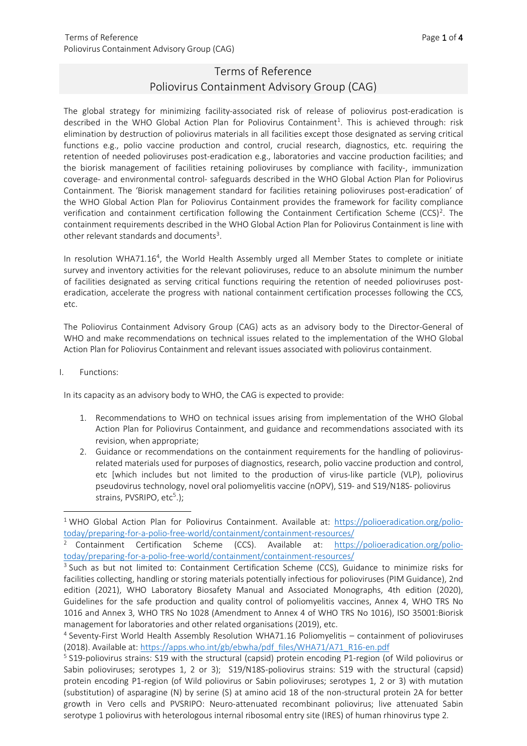## Terms of Reference Poliovirus Containment Advisory Group (CAG)

The global strategy for minimizing facility-associated risk of release of poliovirus post-eradication is described in the WHO Global Action Plan for Poliovirus Containment<sup>[1](#page-0-0)</sup>. This is achieved through: risk elimination by destruction of poliovirus materials in all facilities except those designated as serving critical functions e.g., polio vaccine production and control, crucial research, diagnostics, etc. requiring the retention of needed polioviruses post-eradication e.g., laboratories and vaccine production facilities; and the biorisk management of facilities retaining polioviruses by compliance with facility-, immunization coverage- and environmental control- safeguards described in the WHO Global Action Plan for Poliovirus Containment. The 'Biorisk management standard for facilities retaining polioviruses post-eradication' of the WHO Global Action Plan for Poliovirus Containment provides the framework for facility compliance verification and containment certification following the Containment Certification Scheme (CCS)<sup>[2](#page-0-1)</sup>. The containment requirements described in the WHO Global Action Plan for Poliovirus Containment is line with other relevant standards and documents<sup>[3](#page-0-2)</sup>.

In resolution WHA71.16<sup>[4](#page-0-3)</sup>, the World Health Assembly urged all Member States to complete or initiate survey and inventory activities for the relevant polioviruses, reduce to an absolute minimum the number of facilities designated as serving critical functions requiring the retention of needed polioviruses posteradication, accelerate the progress with national containment certification processes following the CCS, etc.

The Poliovirus Containment Advisory Group (CAG) acts as an advisory body to the Director-General of WHO and make recommendations on technical issues related to the implementation of the WHO Global Action Plan for Poliovirus Containment and relevant issues associated with poliovirus containment.

## I. Functions:

In its capacity as an advisory body to WHO, the CAG is expected to provide:

- 1. Recommendations to WHO on technical issues arising from implementation of the WHO Global Action Plan for Poliovirus Containment, and guidance and recommendations associated with its revision, when appropriate;
- 2. Guidance or recommendations on the containment requirements for the handling of poliovirusrelated materials used for purposes of diagnostics, research, polio vaccine production and control, etc [which includes but not limited to the production of virus-like particle (VLP), poliovirus pseudovirus technology, novel oral poliomyelitis vaccine (nOPV), S19- and S19/N18S- poliovirus strains, PVSRIPO, etc<sup>[5](#page-0-4)</sup>.);

<span id="page-0-0"></span><sup>&</sup>lt;sup>1</sup> WHO Global Action Plan for Poliovirus Containment. Available at: [https://polioeradication.org/polio](https://polioeradication.org/polio-today/preparing-for-a-polio-free-world/containment/containment-resources/)[today/preparing-for-a-polio-free-world/containment/containment-resources/](https://polioeradication.org/polio-today/preparing-for-a-polio-free-world/containment/containment-resources/)

<span id="page-0-1"></span><sup>2</sup> Containment Certification Scheme (CCS). Available at: [https://polioeradication.org/polio](https://polioeradication.org/polio-today/preparing-for-a-polio-free-world/containment/containment-resources/)[today/preparing-for-a-polio-free-world/containment/containment-resources/](https://polioeradication.org/polio-today/preparing-for-a-polio-free-world/containment/containment-resources/)

<span id="page-0-2"></span><sup>&</sup>lt;sup>3</sup> Such as but not limited to: Containment Certification Scheme (CCS), Guidance to minimize risks for facilities collecting, handling or storing materials potentially infectious for polioviruses (PIM Guidance), 2nd edition (2021), WHO Laboratory Biosafety Manual and Associated Monographs, 4th edition (2020), Guidelines for the safe production and quality control of poliomyelitis vaccines, Annex 4, WHO TRS No 1016 and Annex 3, WHO TRS No 1028 (Amendment to Annex 4 of WHO TRS No 1016), ISO 35001:Biorisk management for laboratories and other related organisations (2019), etc.<br><sup>4</sup> Seventy-First World Health Assembly Resolution WHA71.16 Poliomyelitis – containment of polioviruses

<span id="page-0-3"></span><sup>(2018).</sup> Available at[: https://apps.who.int/gb/ebwha/pdf\\_files/WHA71/A71\\_R16-en.pdf](https://apps.who.int/gb/ebwha/pdf_files/WHA71/A71_R16-en.pdf)

<span id="page-0-4"></span><sup>5</sup> S19-poliovirus strains: S19 with the structural (capsid) protein encoding P1-region (of Wild poliovirus or Sabin polioviruses; serotypes 1, 2 or 3); S19/N18S-poliovirus strains: S19 with the structural (capsid) protein encoding P1-region (of Wild poliovirus or Sabin polioviruses; serotypes 1, 2 or 3) with mutation (substitution) of asparagine (N) by serine (S) at amino acid 18 of the non-structural protein 2A for better growth in Vero cells and PVSRIPO: Neuro-attenuated recombinant poliovirus; live attenuated Sabin serotype 1 poliovirus with heterologous internal ribosomal entry site (IRES) of human rhinovirus type 2.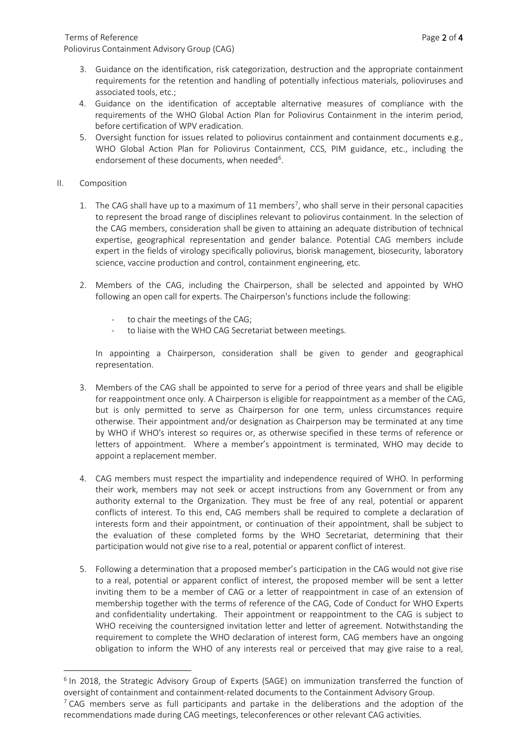- 3. Guidance on the identification, risk categorization, destruction and the appropriate containment requirements for the retention and handling of potentially infectious materials, polioviruses and associated tools, etc.;
- 4. Guidance on the identification of acceptable alternative measures of compliance with the requirements of the WHO Global Action Plan for Poliovirus Containment in the interim period, before certification of WPV eradication.
- 5. Oversight function for issues related to poliovirus containment and containment documents e.g., WHO Global Action Plan for Poliovirus Containment, CCS, PIM guidance, etc., including the endorsement of these documents, when needed<sup>6</sup>.
- II. Composition
	- 1. The CAG shall have up to a maximum of 11 members<sup>7</sup>, who shall serve in their personal capacities to represent the broad range of disciplines relevant to poliovirus containment. In the selection of the CAG members, consideration shall be given to attaining an adequate distribution of technical expertise, geographical representation and gender balance. Potential CAG members include expert in the fields of virology specifically poliovirus, biorisk management, biosecurity, laboratory science, vaccine production and control, containment engineering, etc.
	- 2. Members of the CAG, including the Chairperson, shall be selected and appointed by WHO following an open call for experts. The Chairperson's functions include the following:
		- to chair the meetings of the CAG;
		- to liaise with the WHO CAG Secretariat between meetings.

In appointing a Chairperson, consideration shall be given to gender and geographical representation.

- 3. Members of the CAG shall be appointed to serve for a period of three years and shall be eligible for reappointment once only. A Chairperson is eligible for reappointment as a member of the CAG, but is only permitted to serve as Chairperson for one term, unless circumstances require otherwise. Their appointment and/or designation as Chairperson may be terminated at any time by WHO if WHO's interest so requires or, as otherwise specified in these terms of reference or letters of appointment. Where a member's appointment is terminated, WHO may decide to appoint a replacement member.
- 4. CAG members must respect the impartiality and independence required of WHO. In performing their work, members may not seek or accept instructions from any Government or from any authority external to the Organization. They must be free of any real, potential or apparent conflicts of interest. To this end, CAG members shall be required to complete a declaration of interests form and their appointment, or continuation of their appointment, shall be subject to the evaluation of these completed forms by the WHO Secretariat, determining that their participation would not give rise to a real, potential or apparent conflict of interest.
- 5. Following a determination that a proposed member's participation in the CAG would not give rise to a real, potential or apparent conflict of interest, the proposed member will be sent a letter inviting them to be a member of CAG or a letter of reappointment in case of an extension of membership together with the terms of reference of the CAG, Code of Conduct for WHO Experts and confidentiality undertaking. Their appointment or reappointment to the CAG is subject to WHO receiving the countersigned invitation letter and letter of agreement. Notwithstanding the requirement to complete the WHO declaration of interest form, CAG members have an ongoing obligation to inform the WHO of any interests real or perceived that may give raise to a real,

<span id="page-1-0"></span> $6$  In 2018, the Strategic Advisory Group of Experts (SAGE) on immunization transferred the function of oversight of containment and containment-related documents to the Containment Advisory Group.

<span id="page-1-1"></span> $<sup>7</sup>$  CAG members serve as full participants and partake in the deliberations and the adoption of the</sup> recommendations made during CAG meetings, teleconferences or other relevant CAG activities.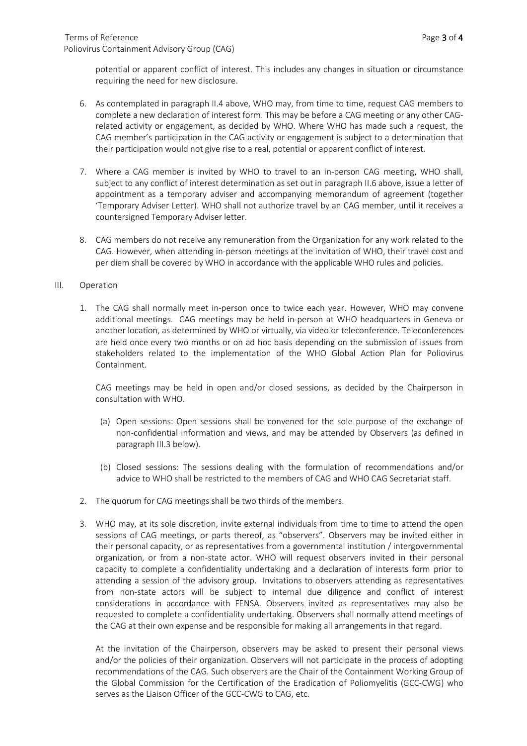potential or apparent conflict of interest. This includes any changes in situation or circumstance requiring the need for new disclosure.

- 6. As contemplated in paragraph II.4 above, WHO may, from time to time, request CAG members to complete a new declaration of interest form. This may be before a CAG meeting or any other CAGrelated activity or engagement, as decided by WHO. Where WHO has made such a request, the CAG member's participation in the CAG activity or engagement is subject to a determination that their participation would not give rise to a real, potential or apparent conflict of interest.
- 7. Where a CAG member is invited by WHO to travel to an in-person CAG meeting, WHO shall, subject to any conflict of interest determination as set out in paragraph II.6 above, issue a letter of appointment as a temporary adviser and accompanying memorandum of agreement (together 'Temporary Adviser Letter). WHO shall not authorize travel by an CAG member, until it receives a countersigned Temporary Adviser letter.
- 8. CAG members do not receive any remuneration from the Organization for any work related to the CAG. However, when attending in-person meetings at the invitation of WHO, their travel cost and per diem shall be covered by WHO in accordance with the applicable WHO rules and policies.

## III. Operation

1. The CAG shall normally meet in-person once to twice each year. However, WHO may convene additional meetings. CAG meetings may be held in-person at WHO headquarters in Geneva or another location, as determined by WHO or virtually, via video or teleconference. Teleconferences are held once every two months or on ad hoc basis depending on the submission of issues from stakeholders related to the implementation of the WHO Global Action Plan for Poliovirus Containment.

CAG meetings may be held in open and/or closed sessions, as decided by the Chairperson in consultation with WHO.

- (a) Open sessions: Open sessions shall be convened for the sole purpose of the exchange of non-confidential information and views, and may be attended by Observers (as defined in paragraph III.3 below).
- (b) Closed sessions: The sessions dealing with the formulation of recommendations and/or advice to WHO shall be restricted to the members of CAG and WHO CAG Secretariat staff.
- 2. The quorum for CAG meetings shall be two thirds of the members.
- 3. WHO may, at its sole discretion, invite external individuals from time to time to attend the open sessions of CAG meetings, or parts thereof, as "observers". Observers may be invited either in their personal capacity, or as representatives from a governmental institution / intergovernmental organization, or from a non-state actor. WHO will request observers invited in their personal capacity to complete a confidentiality undertaking and a declaration of interests form prior to attending a session of the advisory group. Invitations to observers attending as representatives from non-state actors will be subject to internal due diligence and conflict of interest considerations in accordance with FENSA. Observers invited as representatives may also be requested to complete a confidentiality undertaking. Observers shall normally attend meetings of the CAG at their own expense and be responsible for making all arrangements in that regard.

At the invitation of the Chairperson, observers may be asked to present their personal views and/or the policies of their organization. Observers will not participate in the process of adopting recommendations of the CAG. Such observers are the Chair of the Containment Working Group of the Global Commission for the Certification of the Eradication of Poliomyelitis (GCC-CWG) who serves as the Liaison Officer of the GCC-CWG to CAG, etc.